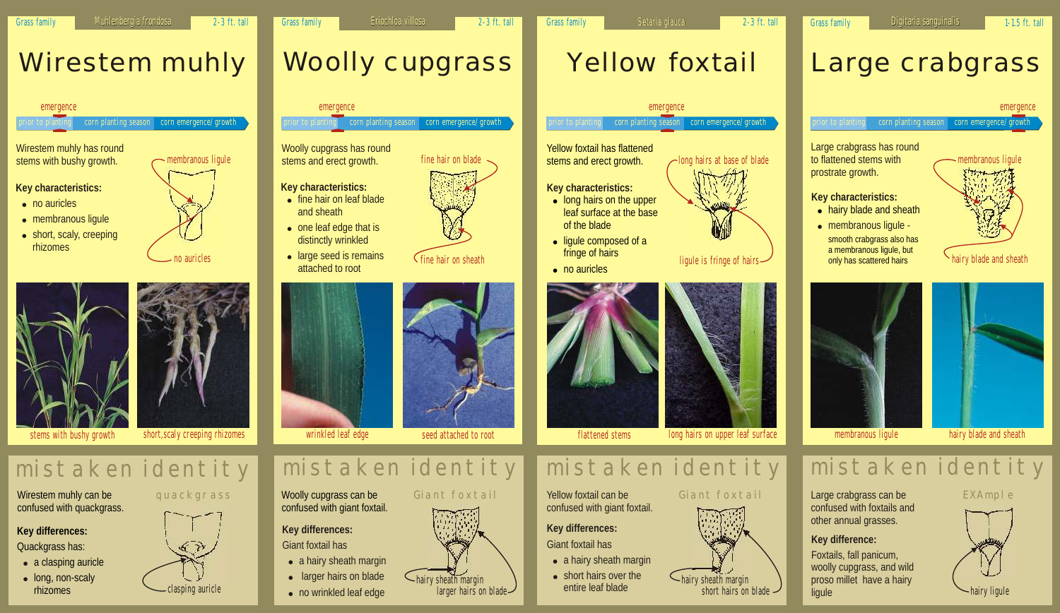prior to plantin

Wirestem muhly





Wirestem muhly can be quackgrass **Woolly cupgrass can be** Giant foxtail Yellow foxtail can be Giant foxtail **Large crabgrass can be EXAmple** confused with quackgrass. and confused with giant foxtail. confused with giant foxtail confused with giant foxtails and

## **Key differences:**

- 
- 



# Woolly cupgrass

emergence

ı

### Grass family *Eriochloa villosa Eriochloa villosa* 2-3 ft. tall

l

### emergence

### corn planting season corn emergence/growth prior to planting corn planting season corn emergence/growth prior to planting corn planting season corn emergence/growth provides are prior to planting season corn emergence/grow

stems with bushy growth. membranous ligule stems and erect growth.

- 
- 
- 



- 
- 
- 
- 

### Grass family *Setaria glauca Setaria glauca* 2-3 ft. tall

# Yellow foxtail

ı

## Large crabgrass

emergence







fine hair on sheath

• membranous ligule<br>
• short, scaly, creeping<br>
• short, scaly, creeping<br>
• short, scaly, creeping<br>
• short, scaly, creeping<br>
• membranous ligule<br>
• short, scaly, creeping<br>
• short, scaly, creeping<br>
• short, scaly, creeping



# stems with bushy growth short,scaly creeping rhizomes wrinkled leaf edge seed attached to root flattened stems long hairs on upper leaf surface membranous ligule hairy blade and sheath

# mistaken identity mistaken identity mistaken identity mistaken identity

- 
- 









prostrate growth.







other annual grasses.

• a clasping auricle<br>• long, non-scaly<br>• clasping auricle<br>• Insiger hairs on blade<br>• Insiger hairs on blade<br>• Insiger hairs on blade<br>• Insiger hairs on blade<br>• Insiger hairs on blade<br>• Insiger hairs on blade<br>• Insiger hair